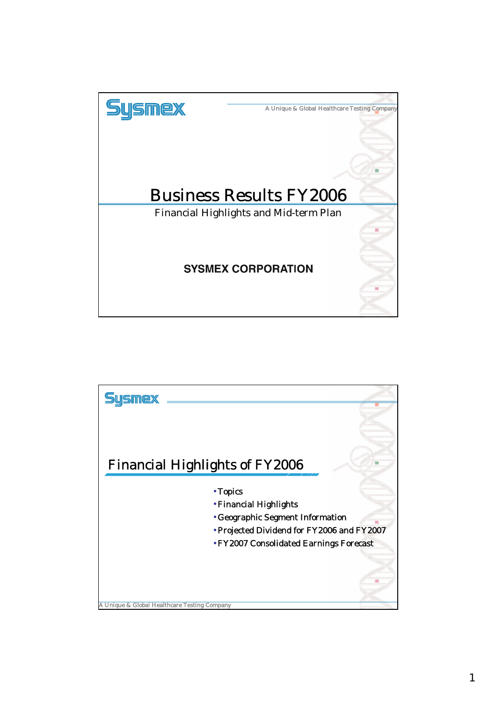

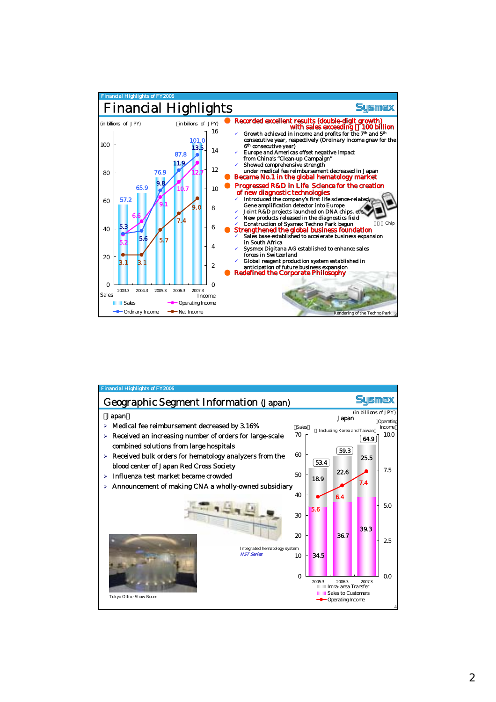

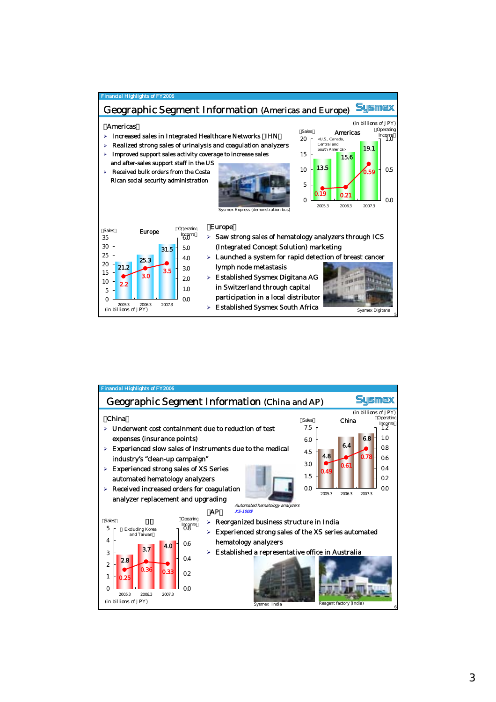

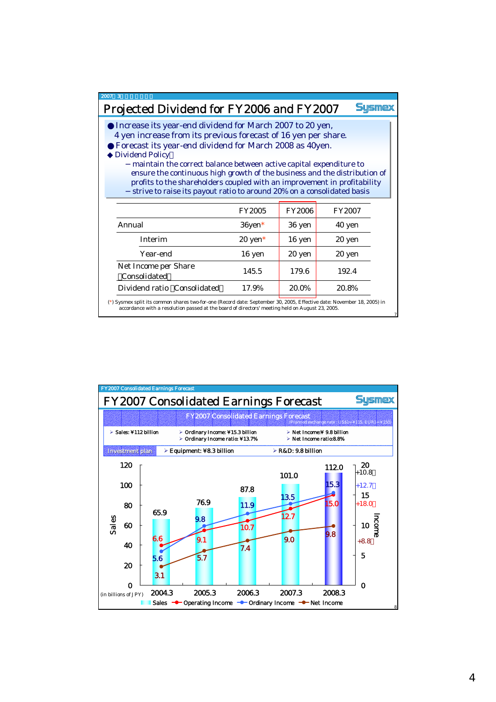## 2007年3月期決算の総括

## Projected Dividend for FY2006 and FY2007

**Sysmex** 

7

Increase its year-end dividend for March 2007 to 20 yen, Increase its year-end dividend for March 2007 to 20 yen, 4 yen increase from its previous forecast of 16 yen per share. 4 yen increase from its previous forecast of 16 yen per share. Forecast its year-end dividend for March 2008 as 40yen. Forecast its year-end dividend for March 2008 as 40yen. Dividend Policy Dividend Policy

maintain the correct balance between active capital expenditure to maintain the correct balance between active capital expenditure to ensure the continuous high growth of the business and the distribution of ensure the continuous high growth of the business and the distribution of profits to the shareholders coupled with an improvement in profitability profits to the shareholders coupled with an improvement in profitability strive to raise its payout ratio to around 20% on a consolidated basis strive to raise its payout ratio to around 20% on a consolidated basis

|                                             | <b>FY2005</b>      | <b>FY2006</b> | <b>FY2007</b> |
|---------------------------------------------|--------------------|---------------|---------------|
| Annual                                      | $36$ yen $*$       | 36 yen        | 40 yen        |
| <b>Interim</b>                              | $20 \text{ yen}^*$ | 16 yen        | 20 yen        |
| Year-end                                    | 16 yen             | 20 yen        | 20 yen        |
| Net Income per Share<br><b>Consolidated</b> | 145.5              | 179.6         | 192.4         |
| Dividend ratio Consolidated                 | 17.9%              | 20.0%         | 20.8%         |

(\*) Sysmex split its common shares two-for-one (Record date: September 30, 2005, Effective date: November 18, 2005) in accordance with a resolution passed at the board of directors' meeting held on August 23, 2005.

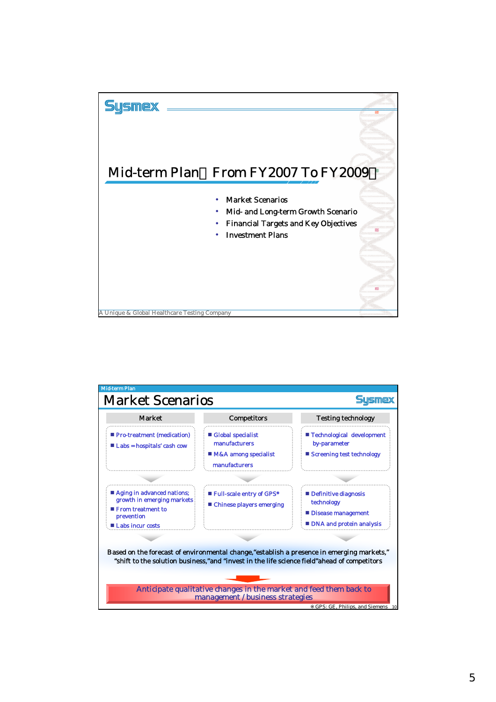

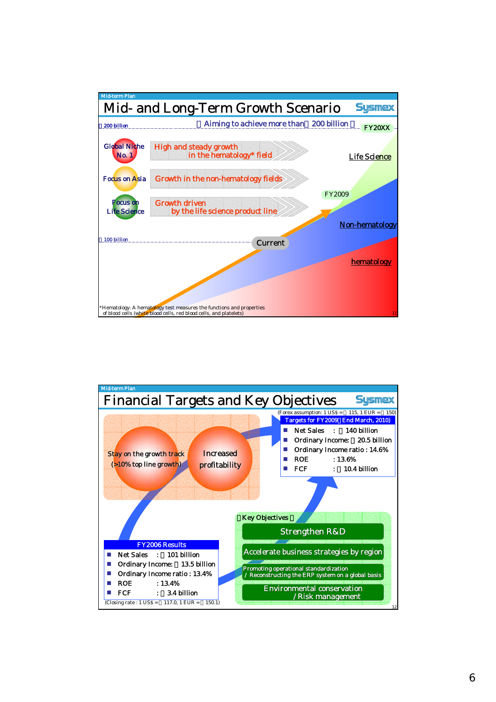